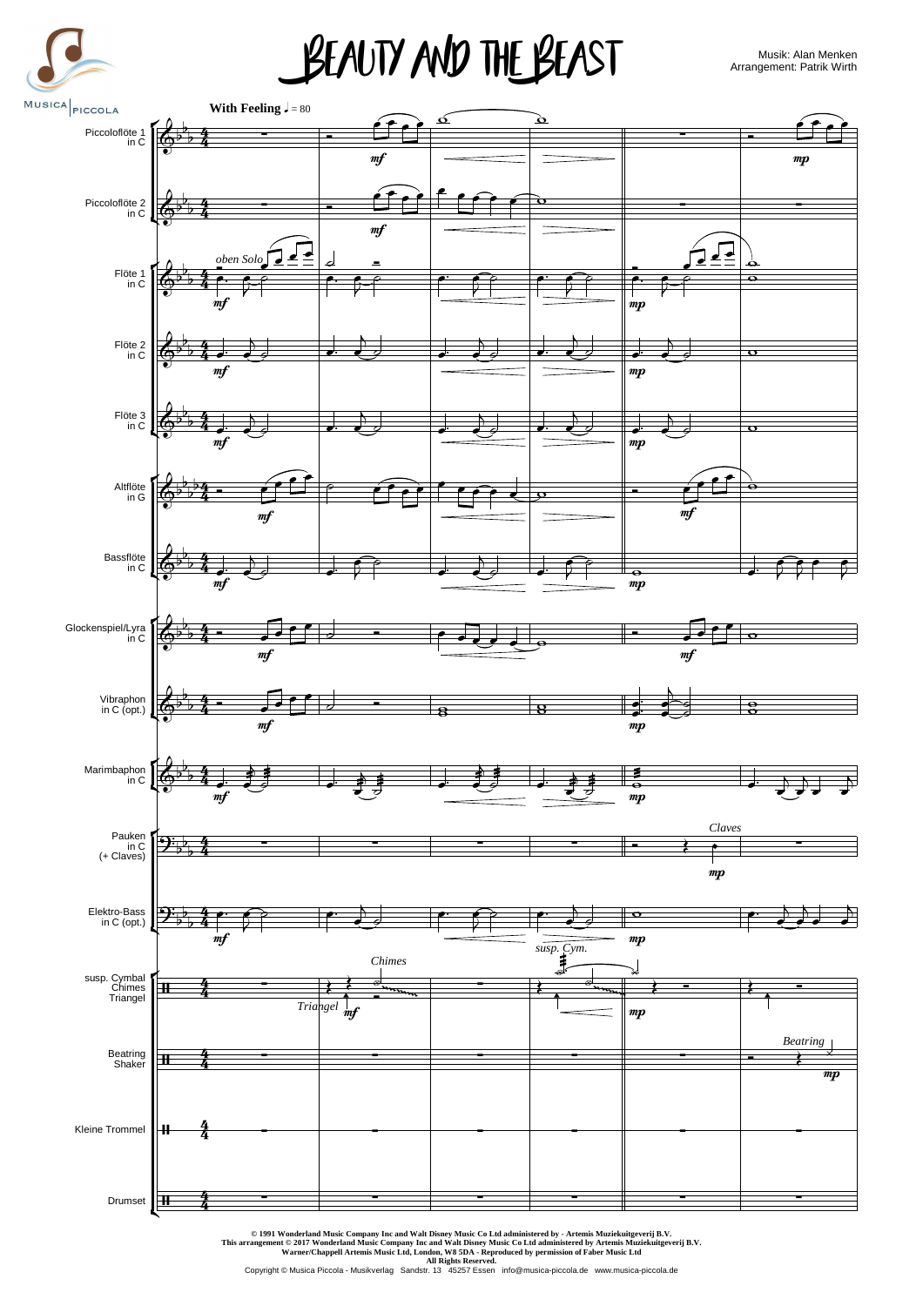

BEAUTY AND THE BEAST Musik: Alan Menken

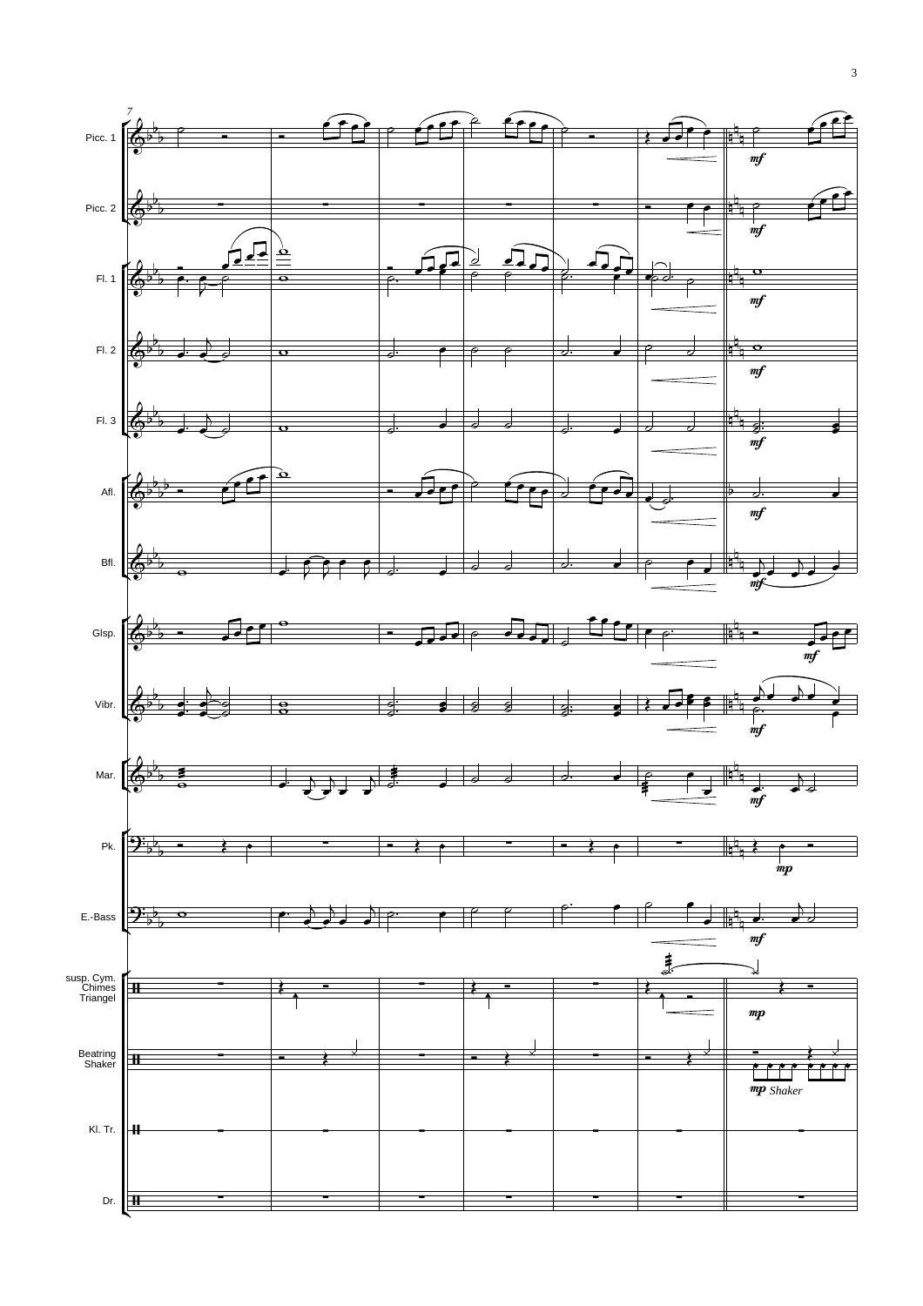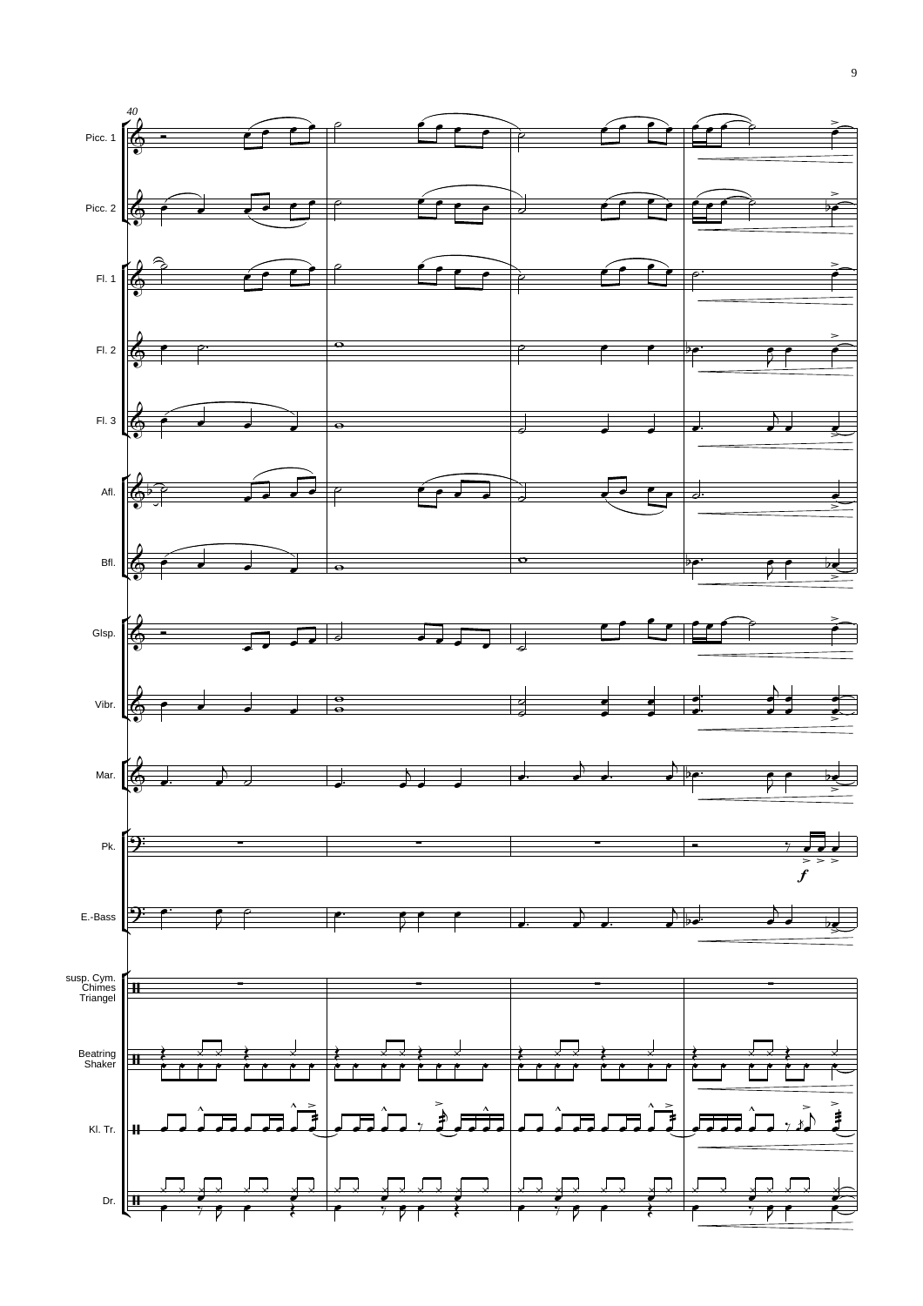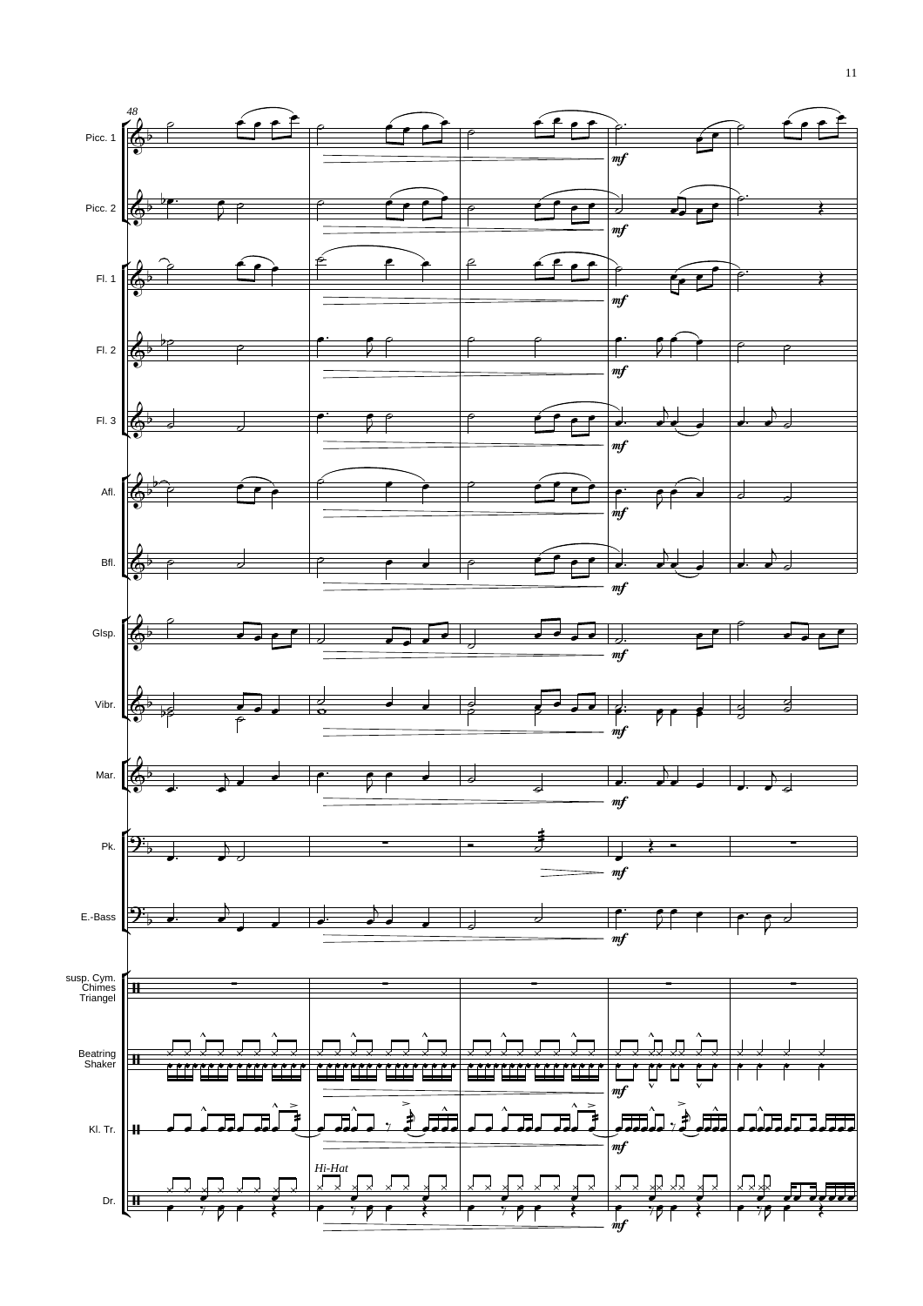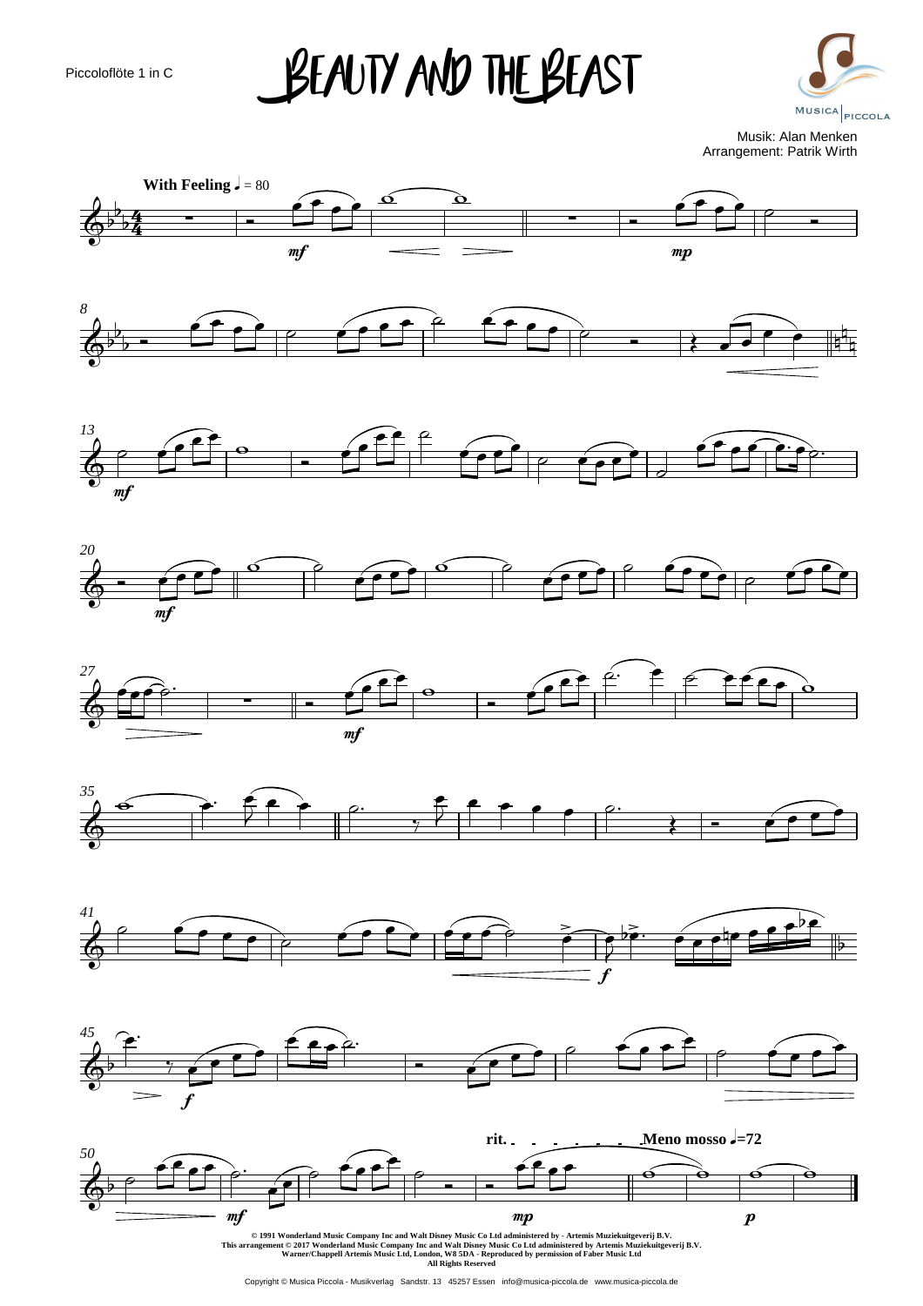Piccoloflöte 1 in C BEAUTY AND THE BEAST



Musik: Alan Menken Arrangement: Patrik Wirth



















Copyright © Musica Piccola - Musikverlag Sandstr. 13 45257 Essen info@musica-piccola.de www.musica-piccola.de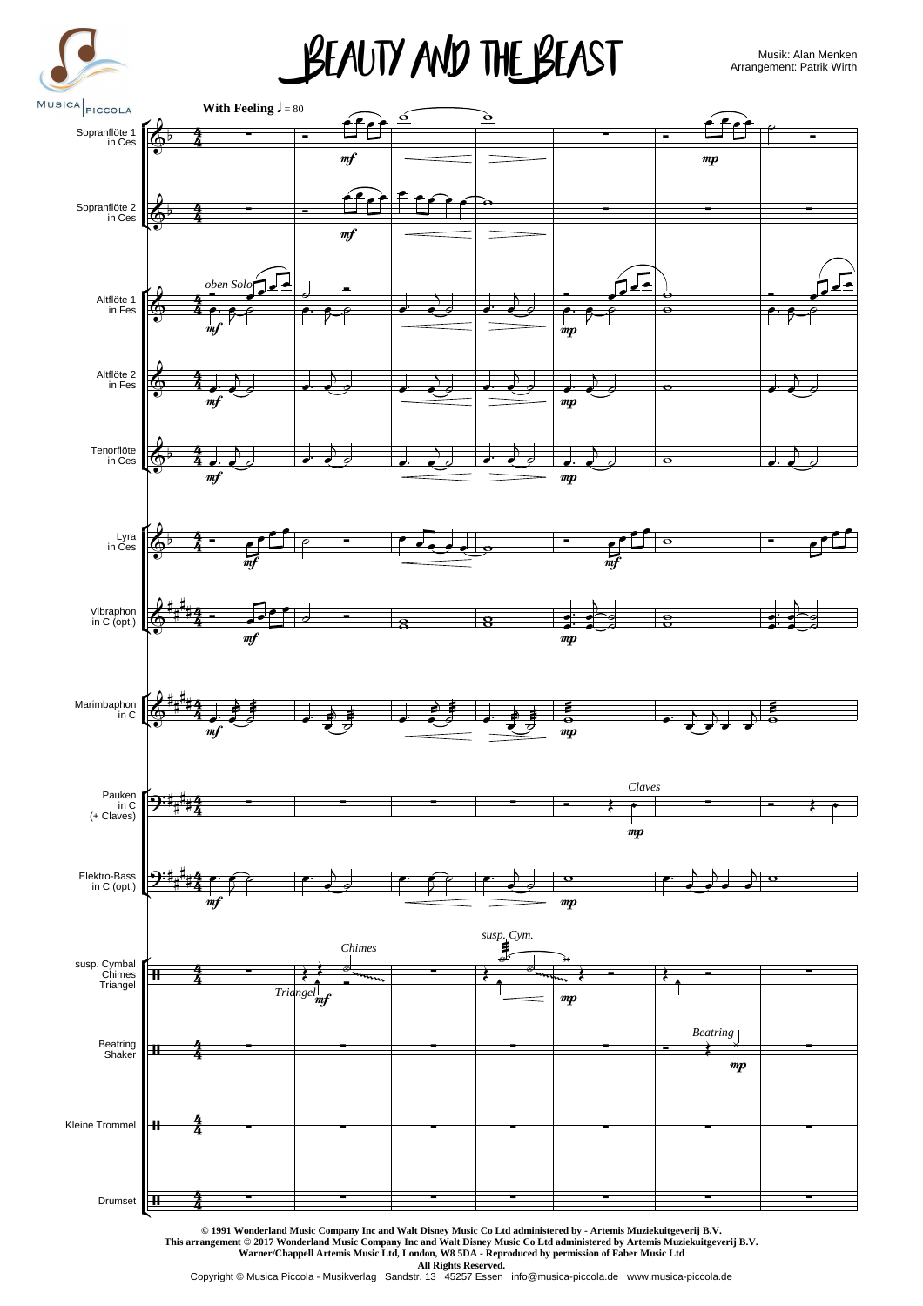

BEAUTY AND THE BEAST Musik: Alan Menken

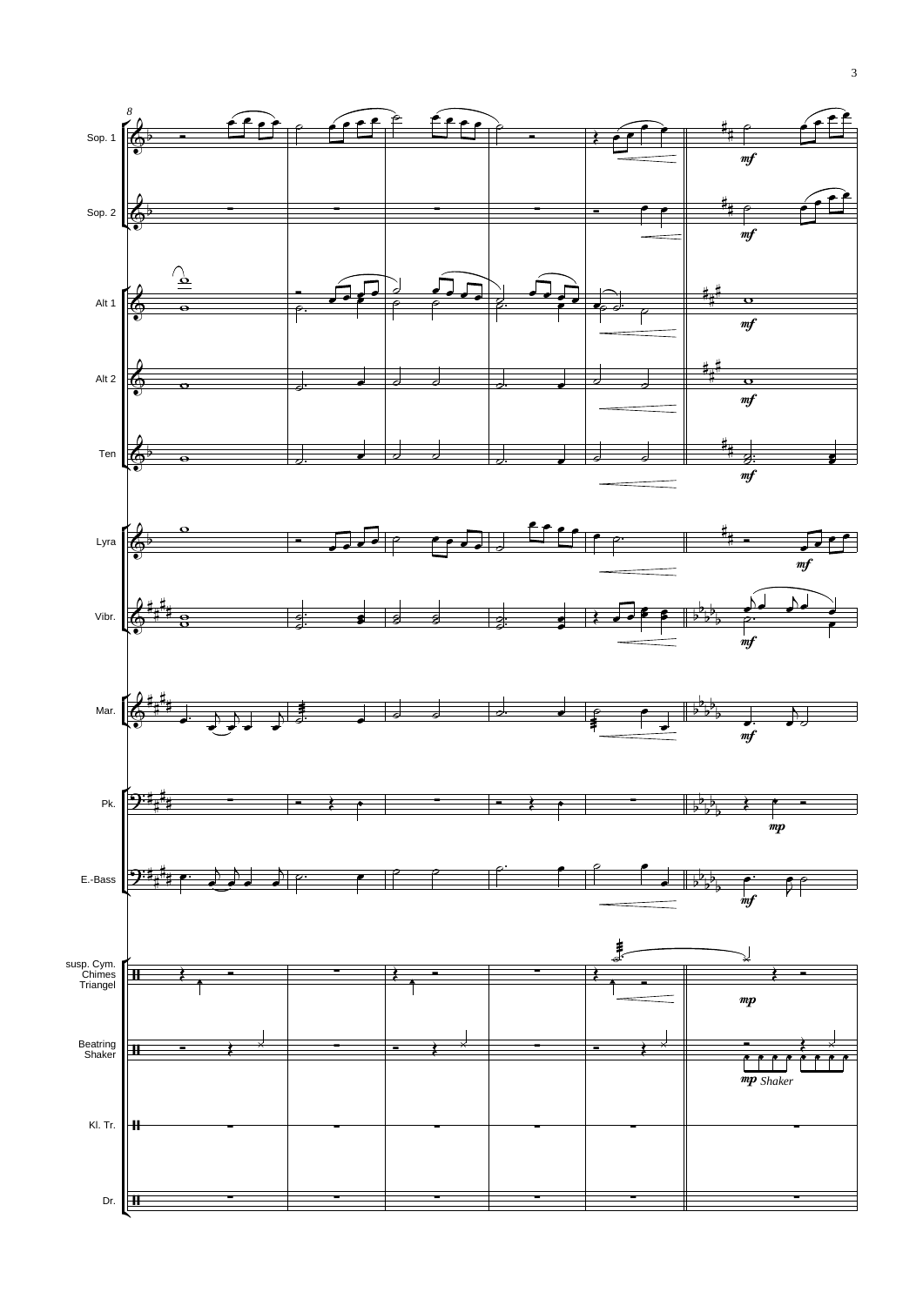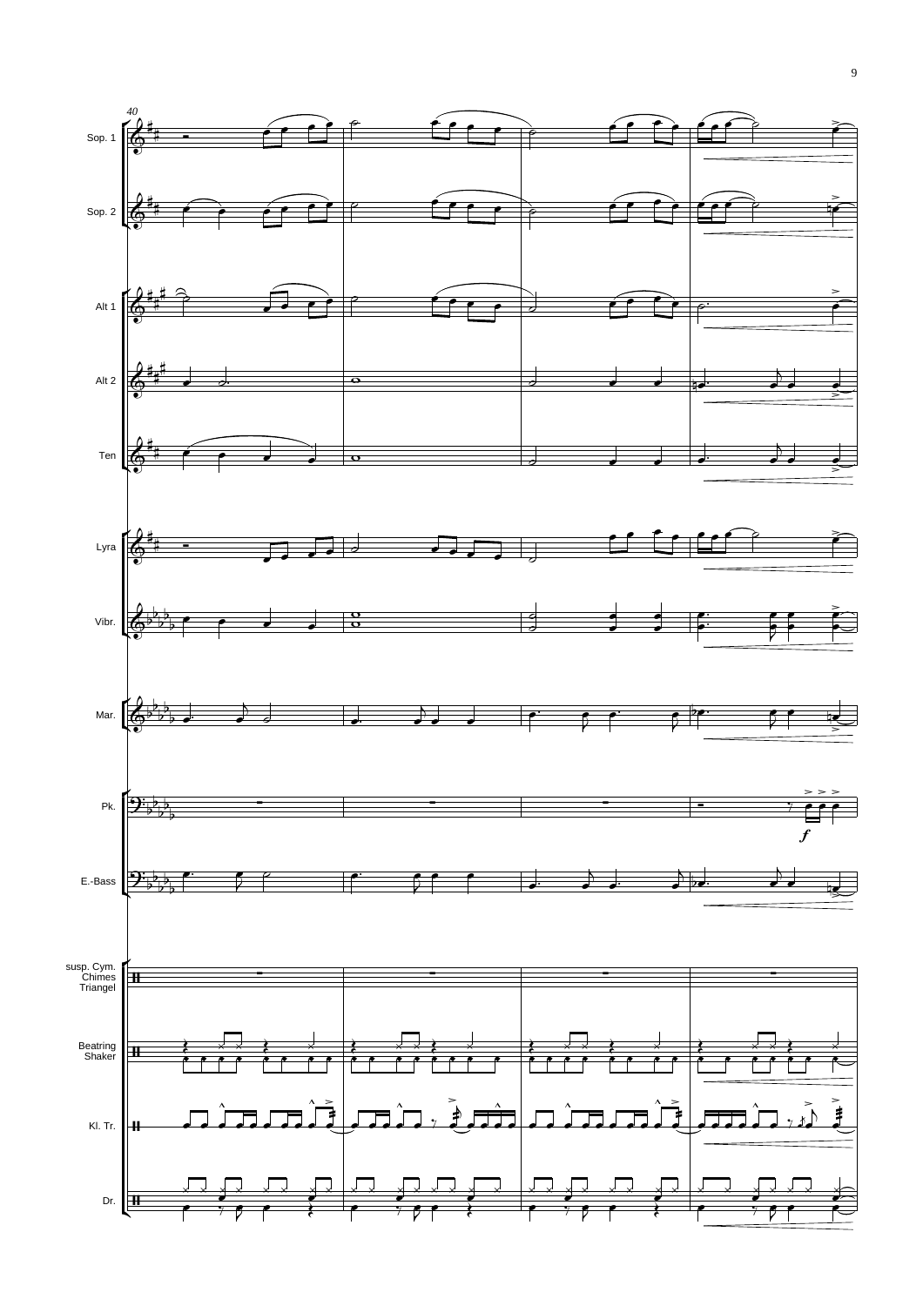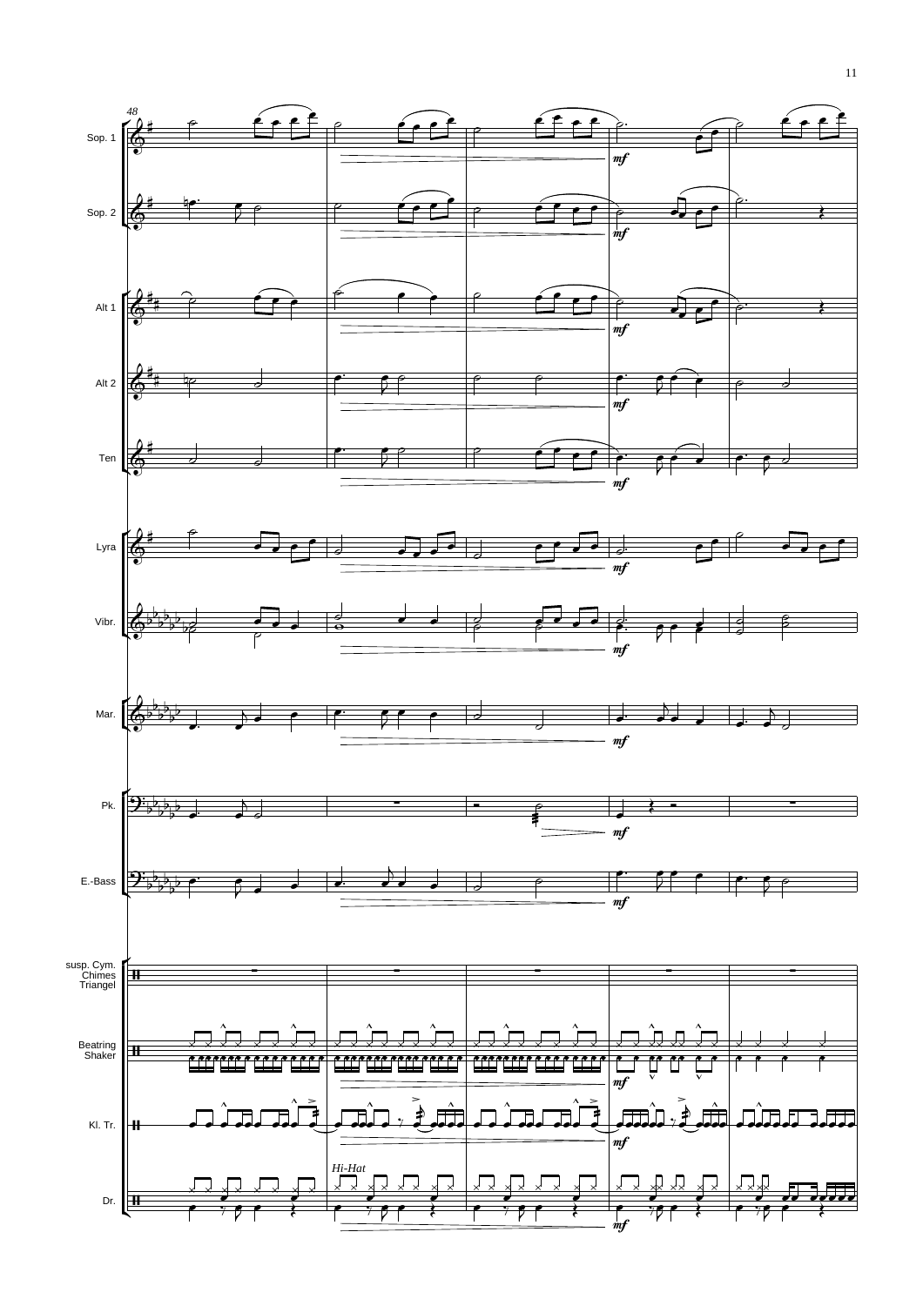